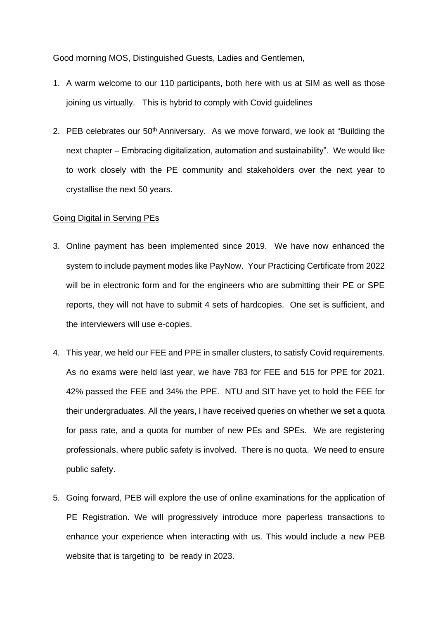Good morning MOS, Distinguished Guests, Ladies and Gentlemen,

- 1. A warm welcome to our 110 participants, both here with us at SIM as well as those joining us virtually. This is hybrid to comply with Covid guidelines
- 2. PEB celebrates our 50<sup>th</sup> Anniversary. As we move forward, we look at "Building the next chapter – Embracing digitalization, automation and sustainability". We would like to work closely with the PE community and stakeholders over the next year to crystallise the next 50 years.

## Going Digital in Serving PEs

- 3. Online payment has been implemented since 2019. We have now enhanced the system to include payment modes like PayNow. Your Practicing Certificate from 2022 will be in electronic form and for the engineers who are submitting their PE or SPE reports, they will not have to submit 4 sets of hardcopies. One set is sufficient, and the interviewers will use e-copies.
- 4. This year, we held our FEE and PPE in smaller clusters, to satisfy Covid requirements. As no exams were held last year, we have 783 for FEE and 515 for PPE for 2021. 42% passed the FEE and 34% the PPE. NTU and SIT have yet to hold the FEE for their undergraduates. All the years, I have received queries on whether we set a quota for pass rate, and a quota for number of new PEs and SPEs. We are registering professionals, where public safety is involved. There is no quota. We need to ensure public safety.
- 5. Going forward, PEB will explore the use of online examinations for the application of PE Registration. We will progressively introduce more paperless transactions to enhance your experience when interacting with us. This would include a new PEB website that is targeting to be ready in 2023.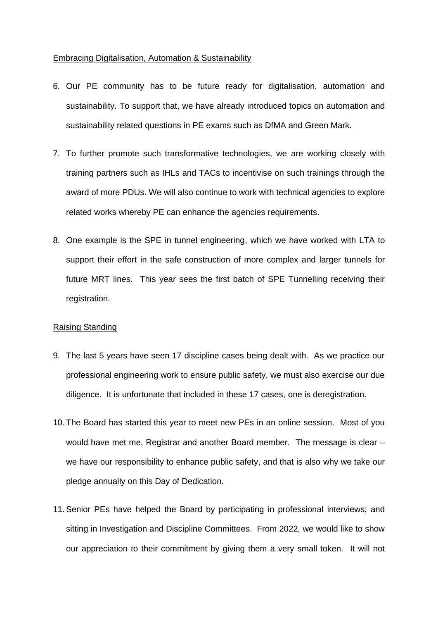## Embracing Digitalisation, Automation & Sustainability

- 6. Our PE community has to be future ready for digitalisation, automation and sustainability. To support that, we have already introduced topics on automation and sustainability related questions in PE exams such as DfMA and Green Mark.
- 7. To further promote such transformative technologies, we are working closely with training partners such as IHLs and TACs to incentivise on such trainings through the award of more PDUs. We will also continue to work with technical agencies to explore related works whereby PE can enhance the agencies requirements.
- 8. One example is the SPE in tunnel engineering, which we have worked with LTA to support their effort in the safe construction of more complex and larger tunnels for future MRT lines. This year sees the first batch of SPE Tunnelling receiving their registration.

## Raising Standing

- 9. The last 5 years have seen 17 discipline cases being dealt with. As we practice our professional engineering work to ensure public safety, we must also exercise our due diligence. It is unfortunate that included in these 17 cases, one is deregistration.
- 10. The Board has started this year to meet new PEs in an online session. Most of you would have met me, Registrar and another Board member. The message is clear – we have our responsibility to enhance public safety, and that is also why we take our pledge annually on this Day of Dedication.
- 11. Senior PEs have helped the Board by participating in professional interviews; and sitting in Investigation and Discipline Committees. From 2022, we would like to show our appreciation to their commitment by giving them a very small token. It will not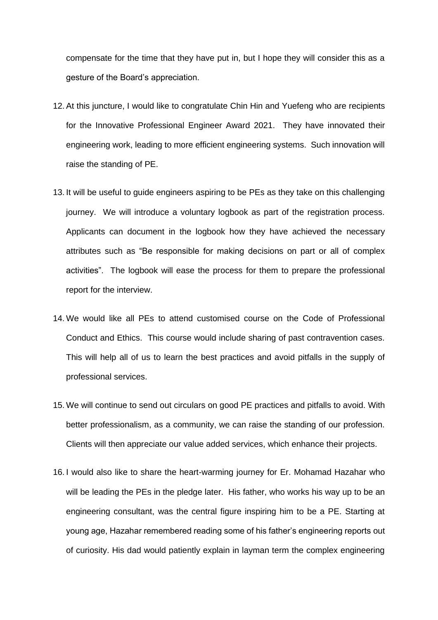compensate for the time that they have put in, but I hope they will consider this as a gesture of the Board's appreciation.

- 12. At this juncture, I would like to congratulate Chin Hin and Yuefeng who are recipients for the Innovative Professional Engineer Award 2021. They have innovated their engineering work, leading to more efficient engineering systems. Such innovation will raise the standing of PE.
- 13. It will be useful to guide engineers aspiring to be PEs as they take on this challenging journey. We will introduce a voluntary logbook as part of the registration process. Applicants can document in the logbook how they have achieved the necessary attributes such as "Be responsible for making decisions on part or all of complex activities". The logbook will ease the process for them to prepare the professional report for the interview.
- 14. We would like all PEs to attend customised course on the Code of Professional Conduct and Ethics. This course would include sharing of past contravention cases. This will help all of us to learn the best practices and avoid pitfalls in the supply of professional services.
- 15. We will continue to send out circulars on good PE practices and pitfalls to avoid. With better professionalism, as a community, we can raise the standing of our profession. Clients will then appreciate our value added services, which enhance their projects.
- 16. I would also like to share the heart-warming journey for Er. Mohamad Hazahar who will be leading the PEs in the pledge later. His father, who works his way up to be an engineering consultant, was the central figure inspiring him to be a PE. Starting at young age, Hazahar remembered reading some of his father's engineering reports out of curiosity. His dad would patiently explain in layman term the complex engineering